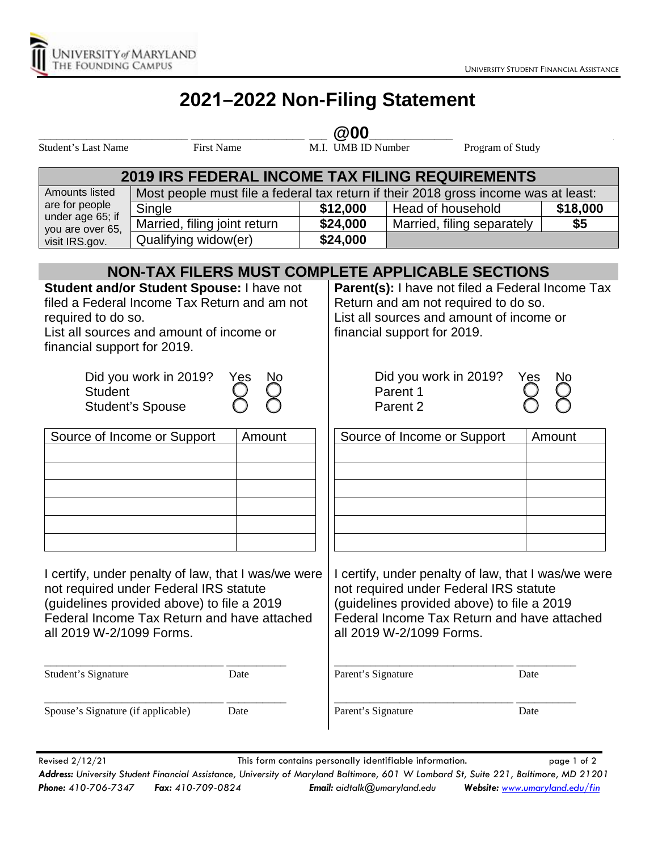

## **2021–2022 Non-Filing Statement**

## **\_\_\_\_\_\_\_\_\_\_\_\_\_\_\_\_\_\_\_\_\_\_\_\_\_ \_\_\_\_\_\_\_\_\_\_\_\_\_\_\_\_\_\_\_ \_\_\_ @00\_\_\_\_\_\_\_\_\_\_\_\_\_\_ \_\_\_\_\_\_\_\_\_\_\_\_\_\_\_\_\_\_\_\_\_\_\_\_\_**

Student's Last Name First Name First Name M.I. UMB ID Number Program of Study

| <b>2019 IRS FEDERAL INCOME TAX FILING REQUIREMENTS</b>                   |                                                                                     |          |                            |          |  |  |
|--------------------------------------------------------------------------|-------------------------------------------------------------------------------------|----------|----------------------------|----------|--|--|
| Amounts listed                                                           | Most people must file a federal tax return if their 2018 gross income was at least: |          |                            |          |  |  |
| are for people<br>under age 65; if<br>you are over 65,<br>visit IRS.gov. | Single                                                                              | \$12,000 | I Head of household        | \$18,000 |  |  |
|                                                                          | Married, filing joint return                                                        | \$24,000 | Married, filing separately | \$5      |  |  |
|                                                                          | Qualifying widow(er)                                                                | \$24,000 |                            |          |  |  |

|                                                                                                                                                                                                                        |           | NON-TAX FILERS MUST COMPLETE APPLICABLE SECTIONS                                                                                                                                                                       |                  |  |
|------------------------------------------------------------------------------------------------------------------------------------------------------------------------------------------------------------------------|-----------|------------------------------------------------------------------------------------------------------------------------------------------------------------------------------------------------------------------------|------------------|--|
| Student and/or Student Spouse: I have not<br>filed a Federal Income Tax Return and am not<br>required to do so.<br>List all sources and amount of income or<br>financial support for 2019.                             |           | Parent(s): I have not filed a Federal Income Tax<br>Return and am not required to do so.<br>List all sources and amount of income or<br>financial support for 2019.                                                    |                  |  |
| Did you work in 2019?<br><b>Student</b><br><b>Student's Spouse</b>                                                                                                                                                     | Ŋо<br>Yes | Did you work in 2019?<br>Parent 1<br>Parent <sub>2</sub>                                                                                                                                                               | Yes<br><u>Nо</u> |  |
| Source of Income or Support                                                                                                                                                                                            | Amount    | Source of Income or Support                                                                                                                                                                                            | Amount           |  |
| I certify, under penalty of law, that I was/we were<br>not required under Federal IRS statute<br>(guidelines provided above) to file a 2019<br>Federal Income Tax Return and have attached<br>all 2019 W-2/1099 Forms. |           | I certify, under penalty of law, that I was/we were<br>not required under Federal IRS statute<br>(guidelines provided above) to file a 2019<br>Federal Income Tax Return and have attached<br>all 2019 W-2/1099 Forms. |                  |  |
| Student's Signature                                                                                                                                                                                                    | Date      | Parent's Signature                                                                                                                                                                                                     | Date             |  |
| Spouse's Signature (if applicable)                                                                                                                                                                                     | Date      | Parent's Signature                                                                                                                                                                                                     | Date             |  |

Revised 2/12/21 This form contains personally identifiable information. This page 1 of 2 *Address: University Student Financial Assistance, University of Maryland Baltimore, 601 W Lombard St, Suite 221, Baltimore, MD 21201 Phone: 410-706-7347 Fax: 410-709-0824 Email: aidtalk@umaryland.edu Website: [www.umaryland.edu/fin](http://www.umaryland.edu/fin)*